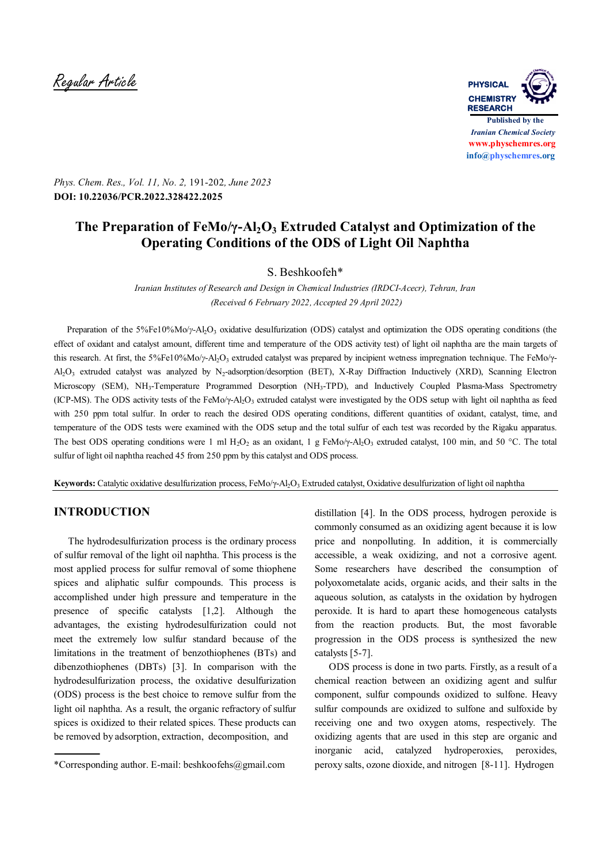Regular Article **PHYSICAL**



*Phys. Chem. Res., Vol. 11, No. 2,* 191-202*, June 2023* **DOI: 10.22036/PCR.2022.328422.2025**

# **The Preparation of FeMo/γ-Al2O3 Extruded Catalyst and Optimization of the Operating Conditions of the ODS of Light Oil Naphtha**

S. Beshkoofeh\*

*Iranian Institutes of Research and Design in Chemical Industries (IRDCI-Acecr), Tehran, Iran (Received 6 February 2022, Accepted 29 April 2022)*

Preparation of the 5%Fe10%Mo/*γ*-Al<sub>2</sub>O<sub>3</sub> oxidative desulfurization (ODS) catalyst and optimization the ODS operating conditions (the effect of oxidant and catalyst amount, different time and temperature of the ODS activity test) of light oil naphtha are the main targets of this research. At first, the 5%Fe10%Mo/*γ*-Al<sub>2</sub>O<sub>3</sub> extruded catalyst was prepared by incipient wetness impregnation technique. The FeMo/γ-Al<sub>2</sub>O<sub>3</sub> extruded catalyst was analyzed by N<sub>2</sub>-adsorption/desorption (BET), X-Ray Diffraction Inductively (XRD), Scanning Electron Microscopy (SEM), NH3-Temperature Programmed Desorption (NH3-TPD), and Inductively Coupled Plasma-Mass Spectrometry (ICP-MS). The ODS activity tests of the FeMo/ $\gamma$ -Al<sub>2</sub>O<sub>3</sub> extruded catalyst were investigated by the ODS setup with light oil naphtha as feed with 250 ppm total sulfur. In order to reach the desired ODS operating conditions, different quantities of oxidant, catalyst, time, and temperature of the ODS tests were examined with the ODS setup and the total sulfur of each test was recorded by the Rigaku apparatus. The best ODS operating conditions were 1 ml H<sub>2</sub>O<sub>2</sub> as an oxidant, 1 g FeMo/ $\gamma$ -Al<sub>2</sub>O<sub>3</sub> extruded catalyst, 100 min, and 50 °C. The total sulfur of light oil naphtha reached 45 from 250 ppm by this catalyst and ODS process.

**Keywords:** Catalytic oxidative desulfurization process, FeMo/γ-Al<sub>2</sub>O<sub>3</sub> Extruded catalyst, Oxidative desulfurization of light oil naphtha

### **INTRODUCTION**

 The hydrodesulfurization process is the ordinary process of sulfur removal of the light oil naphtha. This process is the most applied process for sulfur removal of some thiophene spices and aliphatic sulfur compounds. This process is accomplished under high pressure and temperature in the presence of specific catalysts [1,2]. Although the advantages, the existing hydrodesulfurization could not meet the extremely low sulfur standard because of the limitations in the treatment of benzothiophenes (BTs) and dibenzothiophenes (DBTs) [3]. In comparison with the hydrodesulfurization process, the oxidative desulfurization (ODS) process is the best choice to remove sulfur from the light oil naphtha. As a result, the organic refractory of sulfur spices is oxidized to their related spices. These products can be removed by adsorption, extraction, decomposition, and

distillation [4]. In the ODS process, hydrogen peroxide is commonly consumed as an oxidizing agent because it is low price and nonpolluting. In addition, it is commercially accessible, a weak oxidizing, and not a corrosive agent. Some researchers have described the consumption of polyoxometalate acids, organic acids, and their salts in the aqueous solution, as catalysts in the oxidation by hydrogen peroxide. It is hard to apart these homogeneous catalysts from the reaction products. But, the most favorable progression in the ODS process is synthesized the new catalysts [5-7].

 ODS process is done in two parts. Firstly, as a result of a chemical reaction between an oxidizing agent and sulfur component, sulfur compounds oxidized to sulfone. Heavy sulfur compounds are oxidized to sulfone and sulfoxide by receiving one and two oxygen atoms, respectively. The oxidizing agents that are used in this step are organic and inorganic acid, catalyzed hydroperoxies, peroxides, peroxy salts, ozone dioxide, and nitrogen [8-11]. Hydrogen

<sup>\*</sup>Corresponding author. E-mail: beshkoofehs@gmail.com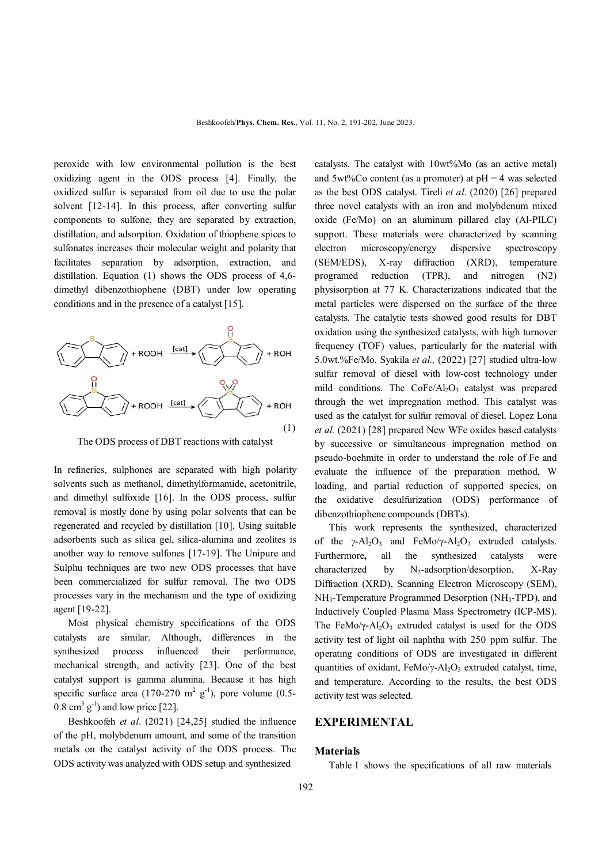peroxide with low environmental pollution is the best oxidizing agent in the ODS process [4]. Finally, the oxidized sulfur is separated from oil due to use the polar solvent [12-14]. In this process, after converting sulfur components to sulfone, they are separated by extraction, distillation, and adsorption. Oxidation of thiophene spices to sulfonates increases their molecular weight and polarity that facilitates separation by adsorption, extraction, and distillation. Equation (1) shows the ODS process of 4,6 dimethyl dibenzothiophene (DBT) under low operating conditions and in the presence of a catalyst [15].



The ODS process of DBT reactions with catalyst

In refineries, sulphones are separated with high polarity solvents such as methanol, dimethylformamide, acetonitrile, and dimethyl sulfoxide [16]. In the ODS process, sulfur removal is mostly done by using polar solvents that can be regenerated and recycled by distillation [10]. Using suitable adsorbents such as silica gel, silica-alumina and zeolites is another way to remove sulfones [17-19]. The Unipure and Sulphu techniques are two new ODS processes that have been commercialized for sulfur removal. The two ODS processes vary in the mechanism and the type of oxidizing agent [19-22].

 Most physical chemistry specifications of the ODS catalysts are similar. Although, differences in the synthesized process influenced their performance, mechanical strength, and activity [23]. One of the best catalyst support is gamma alumina. Because it has high specific surface area  $(170-270 \text{ m}^2 \text{ g}^{-1})$ , pore volume  $(0.5 0.8 \text{ cm}^3 \text{ g}^{-1}$ ) and low price [22].

 Beshkoofeh *et al*. (2021) [24,25] studied the influence of the pH, molybdenum amount, and some of the transition metals on the catalyst activity of the ODS process. The ODS activity was analyzed with ODS setup and synthesized

catalysts. The catalyst with 10wt%Mo (as an active metal) and  $5wt\%Co$  content (as a promoter) at  $pH = 4$  was selected as the best ODS catalyst. Tireli *et al*. (2020) [26] prepared three novel catalysts with an iron and molybdenum mixed oxide (Fe/Mo) on an aluminum pillared clay (Al-PILC) support. These materials were characterized by scanning electron microscopy/energy dispersive spectroscopy (SEM/EDS), X-ray diffraction (XRD), temperature programed reduction (TPR), and nitrogen (N2) physisorption at 77 K. Characterizations indicated that the metal particles were dispersed on the surface of the three catalysts. The catalytic tests showed good results for DBT oxidation using the synthesized catalysts, with high turnover frequency (TOF) values, particularly for the material with 5.0wt.%Fe/Mo. Syakila *et al.,* (2022) [27] studied ultra-low sulfur removal of diesel with low-cost technology under mild conditions. The  $CoFe/Al<sub>2</sub>O<sub>3</sub>$  catalyst was prepared through the wet impregnation method. This catalyst was used as the catalyst for sulfur removal of diesel. Lopez Lona *et al.* (2021) [28] prepared New WFe oxides based catalysts by successive or simultaneous impregnation method on pseudo-boehmite in order to understand the role of Fe and evaluate the influence of the preparation method, W loading, and partial reduction of supported species, on the oxidative desulfurization (ODS) performance of dibenzothiophene compounds (DBTs).

 This work represents the synthesized, characterized of the *γ*-Al<sub>2</sub>O<sub>3</sub> and FeMo/γ-Al<sub>2</sub>O<sub>3</sub> extruded catalysts. Furthermore**,** all the synthesized catalysts were characterized by  $N_2$ -adsorption/desorption, X-Ray Diffraction (XRD), Scanning Electron Microscopy (SEM), NH<sub>3</sub>-Temperature Programmed Desorption (NH<sub>3</sub>-TPD), and Inductively Coupled Plasma Mass Spectrometry (ICP-MS). The FeMo/ $\gamma$ -Al<sub>2</sub>O<sub>3</sub> extruded catalyst is used for the ODS activity test of light oil naphtha with 250 ppm sulfur. The operating conditions of ODS are investigated in different quantities of oxidant, FeMo/ $\gamma$ -Al<sub>2</sub>O<sub>3</sub> extruded catalyst, time, and temperature. According to the results, the best ODS activity test was selected.

#### **EXPERIMENTAL**

#### **Materials**

Table 1 shows the specifications of all raw materials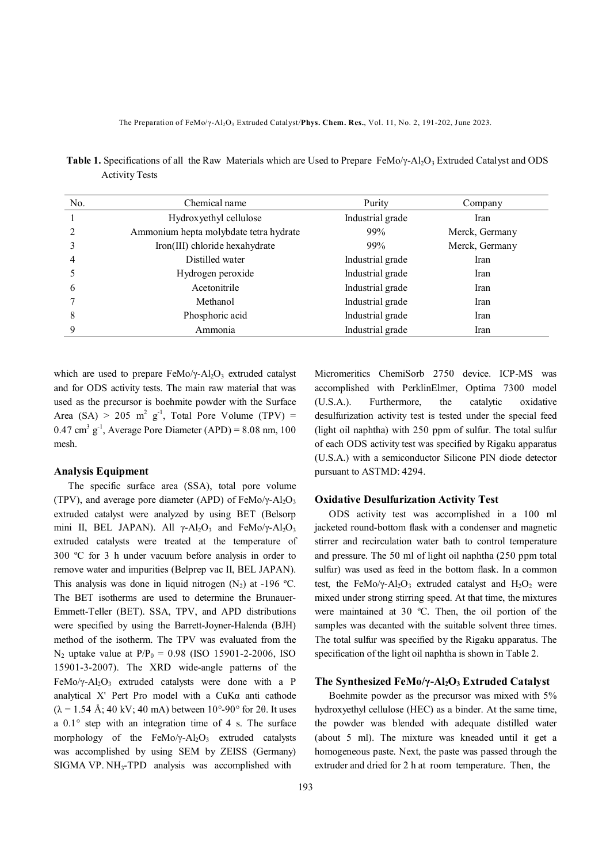| No. | Chemical name                          | Purity           | Company        |
|-----|----------------------------------------|------------------|----------------|
|     | Hydroxyethyl cellulose                 | Industrial grade | Iran           |
|     | Ammonium hepta molybdate tetra hydrate | 99%              | Merck, Germany |
|     | Iron(III) chloride hexahydrate         | 99%              | Merck, Germany |
| 4   | Distilled water                        | Industrial grade | Iran           |
|     | Hydrogen peroxide                      | Industrial grade | Iran           |
| 6   | Acetonitrile                           | Industrial grade | Iran           |
|     | Methanol                               | Industrial grade | Iran           |
| 8   | Phosphoric acid                        | Industrial grade | Iran           |
|     | Ammonia                                | Industrial grade | Iran           |

**Table 1.** Specifications of all the Raw Materials which are Used to Prepare FeMo/γ-Al<sub>2</sub>O<sub>3</sub> Extruded Catalyst and ODS Activity Tests

which are used to prepare FeMo/ $\gamma$ -Al<sub>2</sub>O<sub>3</sub> extruded catalyst and for ODS activity tests. The main raw material that was used as the precursor is boehmite powder with the Surface Area (SA) > 205 m<sup>2</sup> g<sup>-1</sup>, Total Pore Volume (TPV) =  $0.47 \text{ cm}^3 \text{ g}^{-1}$ , Average Pore Diameter (APD) = 8.08 nm, 100 mesh.

#### **Analysis Equipment**

 The specific surface area (SSA), total pore volume (TPV), and average pore diameter (APD) of FeMo/ $\gamma$ -Al<sub>2</sub>O<sub>3</sub> extruded catalyst were analyzed by using BET (Belsorp mini II, BEL JAPAN). All  $\gamma$ -Al<sub>2</sub>O<sub>3</sub> and FeMo/ $\gamma$ -Al<sub>2</sub>O<sub>3</sub> extruded catalysts were treated at the temperature of 300 ºC for 3 h under vacuum before analysis in order to remove water and impurities (Belprep vac II, BEL JAPAN). This analysis was done in liquid nitrogen  $(N_2)$  at -196 °C. The BET isotherms are used to determine the Brunauer-Emmett-Teller (BET). SSA, TPV, and APD distributions were specified by using the Barrett-Joyner-Halenda (BJH) method of the isotherm. The TPV was evaluated from the  $N_2$  uptake value at  $P/P_0 = 0.98$  (ISO 15901-2-2006, ISO 15901-3-2007). The XRD wide-angle patterns of the FeMo/y-Al<sub>2</sub>O<sub>3</sub> extruded catalysts were done with a P analytical X' Pert Pro model with a CuKα anti cathode  $(\lambda = 1.54 \text{ Å}; 40 \text{ kV}; 40 \text{ mA})$  between 10°-90° for 20. It uses a 0.1° step with an integration time of 4 s. The surface morphology of the FeMo/ $\gamma$ -Al<sub>2</sub>O<sub>3</sub> extruded catalysts was accomplished by using SEM by ZEISS (Germany) SIGMA VP. NH<sub>3</sub>-TPD analysis was accomplished with

Micromeritics ChemiSorb 2750 device. ICP-MS was accomplished with PerklinElmer, Optima 7300 model (U.S.A.). Furthermore, the catalytic oxidative desulfurization activity test is tested under the special feed (light oil naphtha) with 250 ppm of sulfur. The total sulfur of each ODS activity test was specified by Rigaku apparatus (U.S.A.) with a semiconductor Silicone PIN diode detector pursuant to ASTMD: 4294.

#### **Oxidative Desulfurization Activity Test**

 ODS activity test was accomplished in a 100 ml jacketed round-bottom flask with a condenser and magnetic stirrer and recirculation water bath to control temperature and pressure. The 50 ml of light oil naphtha (250 ppm total sulfur) was used as feed in the bottom flask. In a common test, the FeMo/ $\gamma$ -Al<sub>2</sub>O<sub>3</sub> extruded catalyst and H<sub>2</sub>O<sub>2</sub> were mixed under strong stirring speed. At that time, the mixtures were maintained at 30 ºC. Then, the oil portion of the samples was decanted with the suitable solvent three times. The total sulfur was specified by the Rigaku apparatus. The specification of the light oil naphtha is shown in Table 2.

#### **The Synthesized FeMo/γ-Al2O3 Extruded Catalyst**

 Boehmite powder as the precursor was mixed with 5% hydroxyethyl cellulose (HEC) as a binder. At the same time, the powder was blended with adequate distilled water (about 5 ml). The mixture was kneaded until it get a homogeneous paste. Next, the paste was passed through the extruder and dried for 2 h at room temperature. Then, the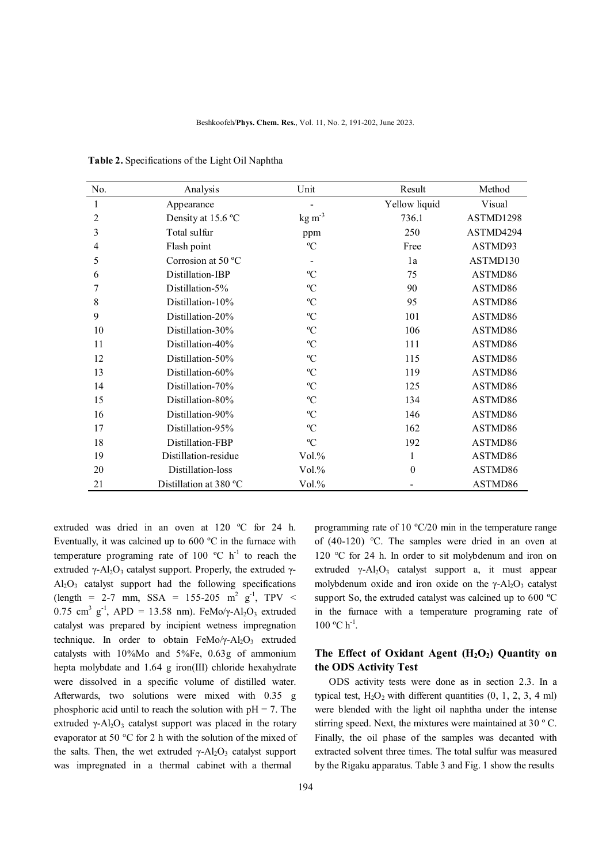| No.            | Analysis               | Unit                  | Result        | Method    |
|----------------|------------------------|-----------------------|---------------|-----------|
| 1              | Appearance             |                       | Yellow liquid | Visual    |
| $\overline{2}$ | Density at 15.6 °C     | $kg \, \text{m}^{-3}$ | 736.1         | ASTMD1298 |
| 3              | Total sulfur           | ppm                   | 250           | ASTMD4294 |
| 4              | Flash point            | °C                    | Free          | ASTMD93   |
| 5              | Corrosion at 50 °C     |                       | 1a            | ASTMD130  |
| 6              | Distillation-IBP       | $\rm ^{o}C$           | 75            | ASTMD86   |
| 7              | Distillation-5%        | $\rm ^{o}C$           | 90            | ASTMD86   |
| 8              | Distillation-10%       | $\rm ^{o}C$           | 95            | ASTMD86   |
| 9              | Distillation-20%       | $\rm ^{o}C$           | 101           | ASTMD86   |
| 10             | Distillation-30%       | $\rm ^{o}C$           | 106           | ASTMD86   |
| 11             | Distillation-40%       | $\rm ^{o}C$           | 111           | ASTMD86   |
| 12             | Distillation-50%       | $\rm ^{o}C$           | 115           | ASTMD86   |
| 13             | Distillation-60%       | $\rm ^{o}C$           | 119           | ASTMD86   |
| 14             | Distillation-70%       | $\rm ^{o}C$           | 125           | ASTMD86   |
| 15             | Distillation-80%       | $\rm ^{o}C$           | 134           | ASTMD86   |
| 16             | Distillation-90%       | $\rm ^{o}C$           | 146           | ASTMD86   |
| 17             | Distillation-95%       | $\rm ^{o}C$           | 162           | ASTMD86   |
| 18             | Distillation-FBP       | $\rm ^{o}C$           | 192           | ASTMD86   |
| 19             | Distillation-residue   | Vol.%                 | 1             | ASTMD86   |
| 20             | Distillation-loss      | Vol.%                 | $\theta$      | ASTMD86   |
| 21             | Distillation at 380 °C | Vol.%                 |               | ASTMD86   |

 **Table 2.** Specifications of the Light Oil Naphtha

extruded was dried in an oven at 120 ºC for 24 h. Eventually, it was calcined up to 600 ºC in the furnace with temperature programing rate of 100  $^{\circ}$ C h<sup>-1</sup> to reach the extruded γ-Al<sub>2</sub>O<sub>3</sub> catalyst support. Properly, the extruded γ- $Al_2O_3$  catalyst support had the following specifications (length = 2-7 mm, SSA = 155-205 m<sup>2</sup> g<sup>-1</sup>, TPV <  $0.75$  cm<sup>3</sup> g<sup>-1</sup>, APD = 13.58 nm). FeMo/γ-Al<sub>2</sub>O<sub>3</sub> extruded catalyst was prepared by incipient wetness impregnation technique. In order to obtain  $FeMo/\gamma$ -Al<sub>2</sub>O<sub>3</sub> extruded catalysts with 10%Mo and 5%Fe, 0.63g of ammonium hepta molybdate and 1.64 g iron(III) chloride hexahydrate were dissolved in a specific volume of distilled water. Afterwards, two solutions were mixed with 0.35 g phosphoric acid until to reach the solution with  $pH = 7$ . The extruded  $\gamma$ -Al<sub>2</sub>O<sub>3</sub> catalyst support was placed in the rotary evaporator at 50 °C for 2 h with the solution of the mixed of the salts. Then, the wet extruded  $\gamma$ -Al<sub>2</sub>O<sub>3</sub> catalyst support was impregnated in a thermal cabinet with a thermal

of (40-120) °C. The samples were dried in an oven at 120 °C for 24 h. In order to sit molybdenum and iron on extruded  $\gamma$ -Al<sub>2</sub>O<sub>3</sub> catalyst support a, it must appear molybdenum oxide and iron oxide on the  $\gamma$ -Al<sub>2</sub>O<sub>3</sub> catalyst support So, the extruded catalyst was calcined up to 600 °C in the furnace with a temperature programing rate of  $100 °C h^{-1}$ .

programming rate of 10 ºC/20 min in the temperature range

## **The Effect of Oxidant Agent (H2O2) Quantity on the ODS Activity Test**

 ODS activity tests were done as in section 2.3. In a typical test,  $H_2O_2$  with different quantities  $(0, 1, 2, 3, 4$  ml) were blended with the light oil naphtha under the intense stirring speed. Next, the mixtures were maintained at 30 º C. Finally, the oil phase of the samples was decanted with extracted solvent three times. The total sulfur was measured by the Rigaku apparatus. Table 3 and Fig. 1 show the results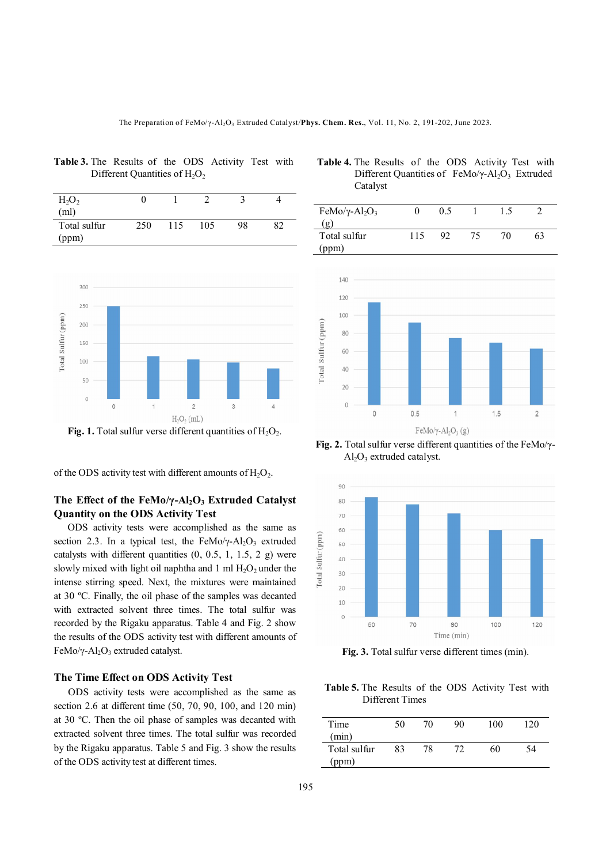| $H_2O_2$     |     |     |     |    |    |
|--------------|-----|-----|-----|----|----|
| (ml)         |     |     |     |    |    |
| Total sulfur | 250 | 115 | 105 | 98 | 82 |
| (ppm)        |     |     |     |    |    |



**Table 3.** The Results of the ODS Activity Test with Different Quantities of  $H_2O_2$ 

of the ODS activity test with different amounts of  $H_2O_2$ .

## **The Effect of the FeMo/γ-Al2O3 Extruded Catalyst Quantity on the ODS Activity Test**

 ODS activity tests were accomplished as the same as section 2.3. In a typical test, the FeMo/ $\gamma$ -Al<sub>2</sub>O<sub>3</sub> extruded catalysts with different quantities  $(0, 0.5, 1, 1.5, 2, g)$  were slowly mixed with light oil naphtha and 1 ml  $H_2O_2$  under the intense stirring speed. Next, the mixtures were maintained at 30 ºC. Finally, the oil phase of the samples was decanted with extracted solvent three times. The total sulfur was recorded by the Rigaku apparatus. Table 4 and Fig. 2 show the results of the ODS activity test with different amounts of FeMo/γ-Al<sub>2</sub>O<sub>3</sub> extruded catalyst.

#### **The Time Effect on ODS Activity Test**

 ODS activity tests were accomplished as the same as section 2.6 at different time (50, 70, 90, 100, and 120 min) at 30 ºC. Then the oil phase of samples was decanted with extracted solvent three times. The total sulfur was recorded by the Rigaku apparatus. Table 5 and Fig. 3 show the results of the ODS activity test at different times.

 **Table 4.** The Results of the ODS Activity Test with Different Quantities of FeMo/γ-Al<sub>2</sub>O<sub>3</sub> Extruded Catalyst



**Fig. 2.** Total sulfur verse different quantities of the FeMo/γ-  $Al_2O_3$  extruded catalyst.



**Fig. 3.** Total sulfur verse different times (min).

 **Table 5.** The Results of the ODS Activity Test with Different Times

| Time<br>(min)        | 50 | 70 | 90 | 100 | 120 |
|----------------------|----|----|----|-----|-----|
| Total sulfur<br>(ppm | 83 |    |    | 60  | 54  |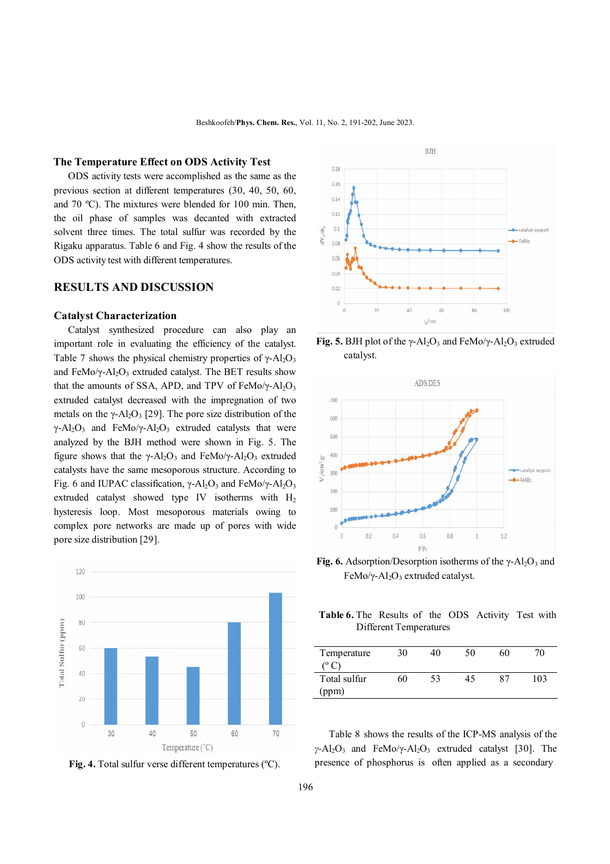### **The Temperature Effect on ODS Activity Test**

 ODS activity tests were accomplished as the same as the previous section at different temperatures (30, 40, 50, 60, and 70 ºC). The mixtures were blended for 100 min. Then, the oil phase of samples was decanted with extracted solvent three times. The total sulfur was recorded by the Rigaku apparatus. Table 6 and Fig. 4 show the results of the ODS activity test with different temperatures.

## **RESULTS AND DISCUSSION**

### **Catalyst Characterization**

 Catalyst synthesized procedure can also play an important role in evaluating the efficiency of the catalyst. Table 7 shows the physical chemistry properties of  $\gamma$ -Al<sub>2</sub>O<sub>3</sub> and FeMo/ $\gamma$ -Al<sub>2</sub>O<sub>3</sub> extruded catalyst. The BET results show that the amounts of SSA, APD, and TPV of FeMo/ $\gamma$ -Al<sub>2</sub>O<sub>3</sub> extruded catalyst decreased with the impregnation of two metals on the  $\gamma$ -Al<sub>2</sub>O<sub>3</sub> [29]. The pore size distribution of the  $\gamma$ -Al<sub>2</sub>O<sub>3</sub> and FeMo/ $\gamma$ -Al<sub>2</sub>O<sub>3</sub> extruded catalysts that were analyzed by the BJH method were shown in Fig. 5. The figure shows that the  $\gamma$ -Al<sub>2</sub>O<sub>3</sub> and FeMo/ $\gamma$ -Al<sub>2</sub>O<sub>3</sub> extruded catalysts have the same mesoporous structure. According to Fig. 6 and IUPAC classification,  $\gamma$ -Al<sub>2</sub>O<sub>3</sub> and FeMo/ $\gamma$ -Al<sub>2</sub>O<sub>3</sub> extruded catalyst showed type IV isotherms with  $H_2$ hysteresis loop. Most mesoporous materials owing to complex pore networks are made up of pores with wide pore size distribution [29].



Fig. 4. Total sulfur verse different temperatures (°C).



**Fig. 5.** BJH plot of the  $\gamma$ -Al<sub>2</sub>O<sub>3</sub> and FeMo/ $\gamma$ -Al<sub>2</sub>O<sub>3</sub> extruded catalyst.



**Fig. 6.** Adsorption/Desorption isotherms of the  $\gamma$ -Al<sub>2</sub>O<sub>3</sub> and FeMo/γ-Al<sub>2</sub>O<sub>3</sub> extruded catalyst.

 **Table 6.** The Results of the ODS Activity Test with Different Temperatures

| Temperature  | 30 | 40 | 50 | 60 | 70  |
|--------------|----|----|----|----|-----|
| $\circ$ C)   |    |    |    |    |     |
| Total sulfur | 60 | 53 | 45 | 87 | 103 |
| (ppm)        |    |    |    |    |     |

 Table 8 shows the results of the ICP-MS analysis of the *γ*-Al<sub>2</sub>O<sub>3</sub> and FeMo/γ-Al<sub>2</sub>O<sub>3</sub> extruded catalyst [30]. The presence of phosphorus is often applied as a secondary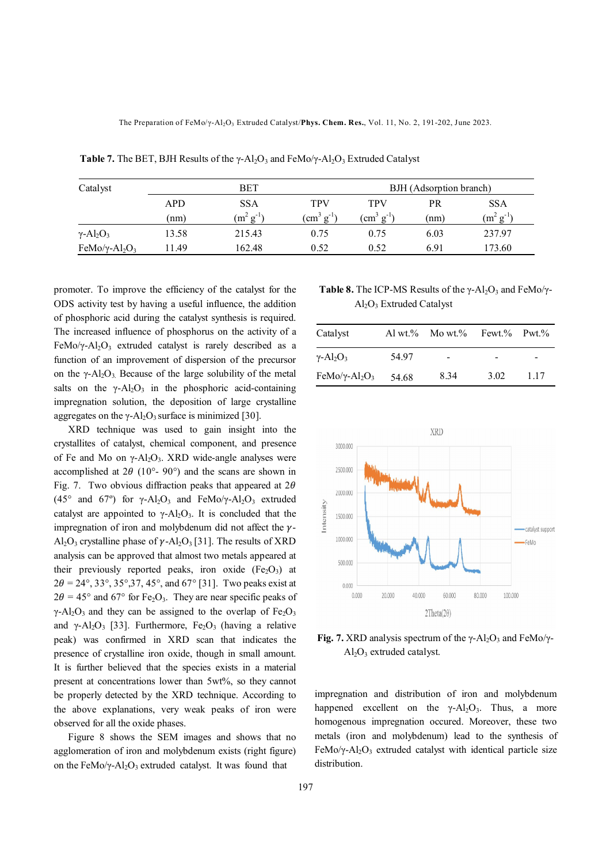The Preparation of FeMo/γ-Al<sub>2</sub>O<sub>3</sub> Extruded Catalyst/Phys. Chem. Res., Vol. 11, No. 2, 191-202, June 2023.

| Catalyst                                 | BET   |                |                       | BJH (Adsorption branch) |      |                |
|------------------------------------------|-------|----------------|-----------------------|-------------------------|------|----------------|
|                                          | APD   | <b>SSA</b>     | TPV                   | TPV                     | PR   | <b>SSA</b>     |
|                                          | (nm)  | $(m^2 g^{-1})$ | $\rm (cm^3 \ g^{-1})$ | $\rm (cm^3 \ g^{-1})$   | (nm) | $(m^2 g^{-1})$ |
| $\gamma$ -Al <sub>2</sub> O <sub>3</sub> | 13.58 | 215.43         | 0.75                  | 0.75                    | 6.03 | 237.97         |
| FeMo/y-Al <sub>2</sub> O <sub>3</sub>    | 1.49  | 162.48         | 0.52                  | 0.52                    | 6.91 | 173.60         |

**Table 7.** The BET, BJH Results of the  $\gamma$ -Al<sub>2</sub>O<sub>3</sub> and FeMo/ $\gamma$ -Al<sub>2</sub>O<sub>3</sub> Extruded Catalyst

promoter. To improve the efficiency of the catalyst for the ODS activity test by having a useful influence, the addition of phosphoric acid during the catalyst synthesis is required. The increased influence of phosphorus on the activity of a FeMo/ $\gamma$ -Al<sub>2</sub>O<sub>3</sub> extruded catalyst is rarely described as a function of an improvement of dispersion of the precursor on the  $\gamma$ -Al<sub>2</sub>O<sub>3</sub>. Because of the large solubility of the metal salts on the  $\gamma$ -Al<sub>2</sub>O<sub>3</sub> in the phosphoric acid-containing impregnation solution, the deposition of large crystalline aggregates on the  $\gamma$ -Al<sub>2</sub>O<sub>3</sub> surface is minimized [30].

 XRD technique was used to gain insight into the crystallites of catalyst, chemical component, and presence of Fe and Mo on  $\gamma$ -Al<sub>2</sub>O<sub>3</sub>. XRD wide-angle analyses were accomplished at  $2\theta$  (10°- 90°) and the scans are shown in Fig. 7. Two obvious diffraction peaks that appeared at  $2\theta$ (45° and 67°) for  $\gamma$ -Al<sub>2</sub>O<sub>3</sub> and FeMo/ $\gamma$ -Al<sub>2</sub>O<sub>3</sub> extruded catalyst are appointed to  $\gamma$ -Al<sub>2</sub>O<sub>3</sub>. It is concluded that the impregnation of iron and molybdenum did not affect the  $\nu$ -Al<sub>2</sub>O<sub>3</sub> crystalline phase of  $\gamma$ -Al<sub>2</sub>O<sub>3</sub> [31]. The results of XRD analysis can be approved that almost two metals appeared at their previously reported peaks, iron oxide  $(Fe_2O_3)$  at  $2\theta = 24^{\circ}, 33^{\circ}, 35^{\circ}, 37, 45^{\circ}$ , and 67° [31]. Two peaks exist at  $2\theta = 45^{\circ}$  and 67° for Fe<sub>2</sub>O<sub>3</sub>. They are near specific peaks of  $\gamma$ -Al<sub>2</sub>O<sub>3</sub> and they can be assigned to the overlap of Fe<sub>2</sub>O<sub>3</sub> and  $\gamma$ -Al<sub>2</sub>O<sub>3</sub> [33]. Furthermore, Fe<sub>2</sub>O<sub>3</sub> (having a relative peak) was confirmed in XRD scan that indicates the presence of crystalline iron oxide, though in small amount. It is further believed that the species exists in a material present at concentrations lower than 5wt%, so they cannot be properly detected by the XRD technique. According to the above explanations, very weak peaks of iron were observed for all the oxide phases.

 Figure 8 shows the SEM images and shows that no agglomeration of iron and molybdenum exists (right figure) on the FeMo/ $\gamma$ -Al<sub>2</sub>O<sub>3</sub> extruded catalyst. It was found that

**Table 8.** The ICP-MS Results of the  $\gamma$ -Al<sub>2</sub>O<sub>3</sub> and FeMo/ $\gamma$ -Al2O3 Extruded Catalyst

| Catalyst                                       |       | Al wt.% Mo wt.% | Fewt.% Pwt.% |     |
|------------------------------------------------|-------|-----------------|--------------|-----|
| $\gamma$ -Al <sub>2</sub> O <sub>3</sub>       | 54 97 |                 |              |     |
| FeMo/ $\gamma$ -Al <sub>2</sub> O <sub>3</sub> | 54.68 | 834             | 3.02         | 117 |



**Fig. 7.** XRD analysis spectrum of the  $\gamma$ -Al<sub>2</sub>O<sub>3</sub> and FeMo/ $\gamma$ - $Al<sub>2</sub>O<sub>3</sub>$  extruded catalyst.

impregnation and distribution of iron and molybdenum happened excellent on the  $\gamma$ -Al<sub>2</sub>O<sub>3</sub>. Thus, a more homogenous impregnation occured. Moreover, these two metals (iron and molybdenum) lead to the synthesis of FeMo/γ-Al<sub>2</sub>O<sub>3</sub> extruded catalyst with identical particle size distribution.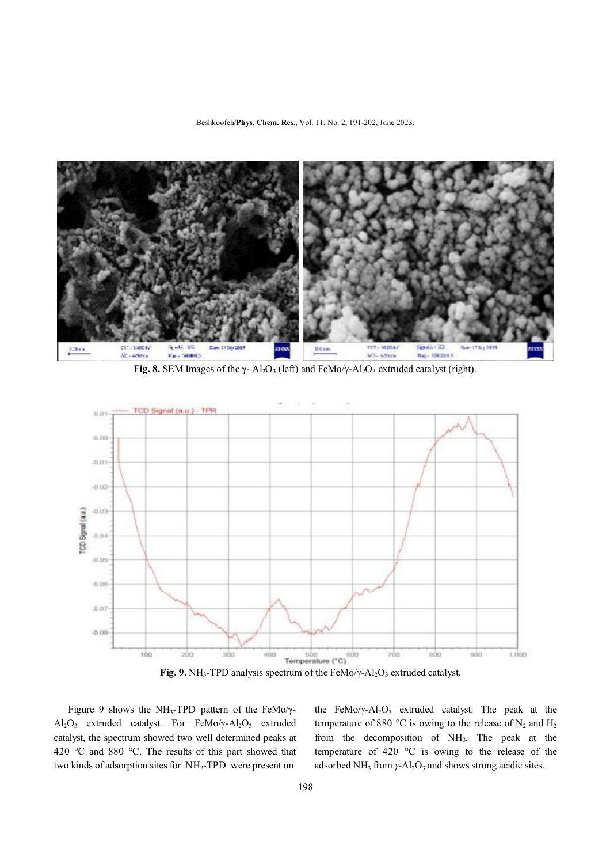Beshkoofeh/**Phys. Chem. Res.**, Vol. 11, No. 2, 191-202, June 2023.



Fig. 8. SEM Images of the  $\gamma$ - Al<sub>2</sub>O<sub>3</sub> (left) and FeMo/ $\gamma$ -Al<sub>2</sub>O<sub>3</sub> extruded catalyst (right).



**Fig. 9.** NH<sub>3</sub>-TPD analysis spectrum of the FeMo/γ-Al<sub>2</sub>O<sub>3</sub> extruded catalyst.

Figure 9 shows the NH<sub>3</sub>-TPD pattern of the FeMo/ $\gamma$ - $Al_2O_3$  extruded catalyst. For FeMo/y- $Al_2O_3$  extruded catalyst, the spectrum showed two well determined peaks at 420 °C and 880 °C. The results of this part showed that two kinds of adsorption sites for NH3-TPD were present on

the FeMo/ $\gamma$ -Al<sub>2</sub>O<sub>3</sub> extruded catalyst. The peak at the temperature of 880 °C is owing to the release of  $N_2$  and  $H_2$ from the decomposition of NH3. The peak at the temperature of 420 °C is owing to the release of the adsorbed NH<sub>3</sub> from *γ*-Al<sub>2</sub>O<sub>3</sub> and shows strong acidic sites.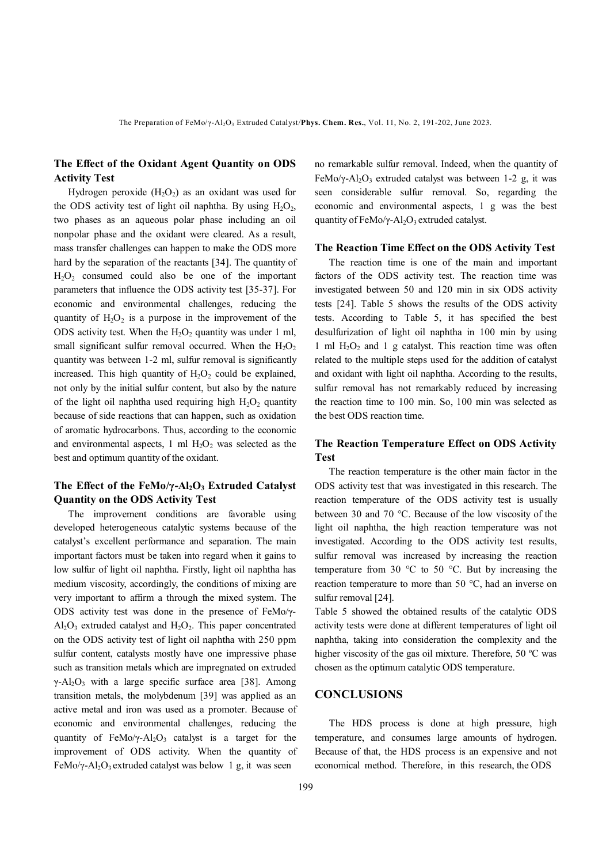## **The Effect of the Oxidant Agent Quantity on ODS Activity Test**

Hydrogen peroxide  $(H_2O_2)$  as an oxidant was used for the ODS activity test of light oil naphtha. By using  $H_2O_2$ , two phases as an aqueous polar phase including an oil nonpolar phase and the oxidant were cleared. As a result, mass transfer challenges can happen to make the ODS more hard by the separation of the reactants [34]. The quantity of  $H_2O_2$  consumed could also be one of the important parameters that influence the ODS activity test [35-37]. For economic and environmental challenges, reducing the quantity of  $H_2O_2$  is a purpose in the improvement of the ODS activity test. When the  $H_2O_2$  quantity was under 1 ml, small significant sulfur removal occurred. When the  $H_2O_2$ quantity was between 1-2 ml, sulfur removal is significantly increased. This high quantity of  $H_2O_2$  could be explained, not only by the initial sulfur content, but also by the nature of the light oil naphtha used requiring high  $H_2O_2$  quantity because of side reactions that can happen, such as oxidation of aromatic hydrocarbons. Thus, according to the economic and environmental aspects, 1 ml  $H_2O_2$  was selected as the best and optimum quantity of the oxidant.

### **The Effect of the FeMo/γ-Al2O3 Extruded Catalyst Quantity on the ODS Activity Test**

 The improvement conditions are favorable using developed heterogeneous catalytic systems because of the catalyst's excellent performance and separation. The main important factors must be taken into regard when it gains to low sulfur of light oil naphtha. Firstly, light oil naphtha has medium viscosity, accordingly, the conditions of mixing are very important to affirm a through the mixed system. The ODS activity test was done in the presence of FeMo/γ- $Al_2O_3$  extruded catalyst and  $H_2O_2$ . This paper concentrated on the ODS activity test of light oil naphtha with 250 ppm sulfur content, catalysts mostly have one impressive phase such as transition metals which are impregnated on extruded  $y - A_1 Q_3$  with a large specific surface area [38]. Among transition metals, the molybdenum [39] was applied as an active metal and iron was used as a promoter. Because of economic and environmental challenges, reducing the quantity of FeMo/ $\gamma$ -Al<sub>2</sub>O<sub>3</sub> catalyst is a target for the improvement of ODS activity. When the quantity of FeMo/ $\gamma$ -Al<sub>2</sub>O<sub>3</sub> extruded catalyst was below 1 g, it was seen

no remarkable sulfur removal. Indeed, when the quantity of FeMo/y-Al<sub>2</sub>O<sub>3</sub> extruded catalyst was between 1-2 g, it was seen considerable sulfur removal. So, regarding the economic and environmental aspects, 1 g was the best quantity of FeMo/γ-Al<sub>2</sub>O<sub>3</sub> extruded catalyst.

#### **The Reaction Time Effect on the ODS Activity Test**

 The reaction time is one of the main and important factors of the ODS activity test. The reaction time was investigated between 50 and 120 min in six ODS activity tests [24]. Table 5 shows the results of the ODS activity tests. According to Table 5, it has specified the best desulfurization of light oil naphtha in 100 min by using 1 ml  $H_2O_2$  and 1 g catalyst. This reaction time was often related to the multiple steps used for the addition of catalyst and oxidant with light oil naphtha. According to the results, sulfur removal has not remarkably reduced by increasing the reaction time to 100 min. So, 100 min was selected as the best ODS reaction time.

### **The Reaction Temperature Effect on ODS Activity Test**

 The reaction temperature is the other main factor in the ODS activity test that was investigated in this research. The reaction temperature of the ODS activity test is usually between 30 and 70 °C. Because of the low viscosity of the light oil naphtha, the high reaction temperature was not investigated. According to the ODS activity test results, sulfur removal was increased by increasing the reaction temperature from 30  $\degree$ C to 50  $\degree$ C. But by increasing the reaction temperature to more than 50 °C, had an inverse on sulfur removal [24].

Table 5 showed the obtained results of the catalytic ODS activity tests were done at different temperatures of light oil naphtha, taking into consideration the complexity and the higher viscosity of the gas oil mixture. Therefore, 50 °C was chosen as the optimum catalytic ODS temperature.

## **CONCLUSIONS**

 The HDS process is done at high pressure, high temperature, and consumes large amounts of hydrogen. Because of that, the HDS process is an expensive and not economical method. Therefore, in this research, the ODS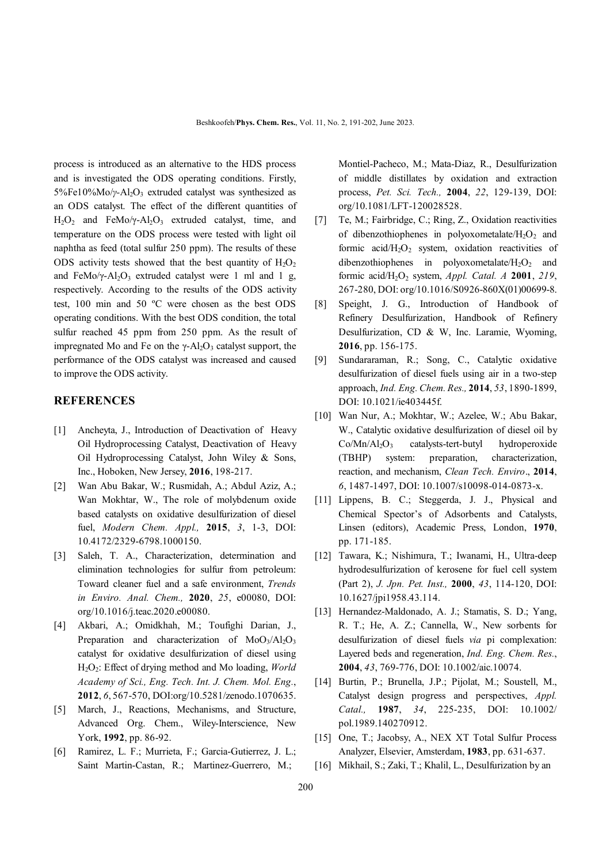process is introduced as an alternative to the HDS process and is investigated the ODS operating conditions. Firstly, 5%Fe10%Mo/*γ*-Al<sub>2</sub>O<sub>3</sub> extruded catalyst was synthesized as an ODS catalyst. The effect of the different quantities of  $H_2O_2$  and FeMo/ $\gamma$ -Al<sub>2</sub>O<sub>3</sub> extruded catalyst, time, and temperature on the ODS process were tested with light oil naphtha as feed (total sulfur 250 ppm). The results of these ODS activity tests showed that the best quantity of  $H_2O_2$ and FeMo/ $\gamma$ -Al<sub>2</sub>O<sub>3</sub> extruded catalyst were 1 ml and 1 g, respectively. According to the results of the ODS activity test, 100 min and 50 ºC were chosen as the best ODS operating conditions. With the best ODS condition, the total sulfur reached 45 ppm from 250 ppm. As the result of impregnated Mo and Fe on the  $\gamma$ -Al<sub>2</sub>O<sub>3</sub> catalyst support, the performance of the ODS catalyst was increased and caused to improve the ODS activity.

### **REFERENCES**

- [1] Ancheyta, J., Introduction of Deactivation of Heavy Oil Hydroprocessing Catalyst, Deactivation of Heavy Oil Hydroprocessing Catalyst, John Wiley & Sons, Inc., Hoboken, New Jersey, **2016**, 198-217.
- [2] Wan Abu Bakar, W.; Rusmidah, A.; Abdul Aziz, A.; Wan Mokhtar, W., The role of molybdenum oxide based catalysts on oxidative desulfurization of diesel fuel, *Modern Chem. Appl.,* **2015**, *3*, 1-3, DOI: 10.4172/2329-6798.1000150.
- [3] Saleh, T. A., Characterization, determination and elimination technologies for sulfur from petroleum: Toward cleaner fuel and a safe environment, *Trends in Enviro. Anal. Chem.,* **2020**, *25*, e00080, DOI: org/10.1016/j.teac.2020.e00080.
- [4] Akbari, A.; Omidkhah, M.; Toufighi Darian, J., Preparation and characterization of  $MoO<sub>3</sub>/Al<sub>2</sub>O<sub>3</sub>$ catalyst for oxidative desulfurization of diesel using H2O2: Effect of drying method and Mo loading, *World Academy of Sci., Eng. Tech. Int. J. Chem. Mol. Eng.*, **2012**, *6*, 567-570, DOI:org/10.5281/zenodo.1070635.
- [5] March, J., Reactions, Mechanisms, and Structure, Advanced Org. Chem., Wiley-Interscience, New York, **1992**, pp. 86-92.
- [6] Ramirez, L. F.; Murrieta, F.; Garcia-Gutierrez, J. L.; Saint Martin-Castan, R.; Martinez-Guerrero, M.;

Montiel-Pacheco, M.; Mata-Diaz, R., Desulfurization of middle distillates by oxidation and extraction process, *Pet. Sci. Tech.,* **2004**, *22*, 129-139, DOI: org/10.1081/LFT-120028528.

- [7] Te, M.; Fairbridge, C.; Ring, Z., Oxidation reactivities of dibenzothiophenes in polyoxometalate/ $H_2O_2$  and formic acid/ $H_2O_2$  system, oxidation reactivities of dibenzothiophenes in polyoxometalate/ $H_2O_2$  and formic acid/H2O2 system, *Appl. Catal. A* **2001**, *219*, 267-280, DOI: org/10.1016/S0926-860X(01)00699-8.
- [8] Speight, J. G., Introduction of Handbook of Refinery Desulfurization, Handbook of Refinery Desulfurization, CD & W, Inc. Laramie, Wyoming, **2016**, pp. 156-175.
- [9] Sundararaman, R.; Song, C., Catalytic oxidative desulfurization of diesel fuels using air in a two-step approach, *Ind. Eng. Chem. Res.,* **2014**, *53*, 1890-1899, DOI: 10.1021/ie403445f.
- [10] Wan Nur, A.; Mokhtar, W.; Azelee, W.; Abu Bakar, W., Catalytic oxidative desulfurization of diesel oil by  $Co/Mn/Al_2O_3$  catalysts-tert-butyl hydroperoxide (TBHP) system: preparation, characterization, reaction, and mechanism, *Clean Tech. Enviro*., **2014**, *6*, 1487-1497, DOI: 10.1007/s10098-014-0873-x.
- [11] Lippens, B. C.; Steggerda, J. J., Physical and Chemical Spector's of Adsorbents and Catalysts, Linsen (editors), Academic Press, London, **1970**, pp. 171-185.
- [12] Tawara, K.; Nishimura, T.; Iwanami, H., Ultra-deep hydrodesulfurization of kerosene for fuel cell system (Part 2), *J. Jpn. Pet. Inst.,* **2000**, *43*, 114-120, DOI: 10.1627/jpi1958.43.114.
- [13] Hernandez-Maldonado, A. J.; Stamatis, S. D.; Yang, R. T.; He, A. Z.; Cannella, W., New sorbents for desulfurization of diesel fuels *via* pi complexation: Layered beds and regeneration, *Ind. Eng. Chem. Res.*, **2004**, *43*, 769-776, DOI: 10.1002/aic.10074.
- [14] Burtin, P.; Brunella, J.P.; Pijolat, M.; Soustell, M., Catalyst design progress and perspectives, *Appl. Catal.,* **1987**, *34*, 225-235, DOI: 10.1002/ pol.1989.140270912.
- [15] One, T.; Jacobsy, A., NEX XT Total Sulfur Process Analyzer, Elsevier, Amsterdam, **1983**, pp. 631-637.
- [16] Mikhail, S.; Zaki, T.; Khalil, L., Desulfurization by an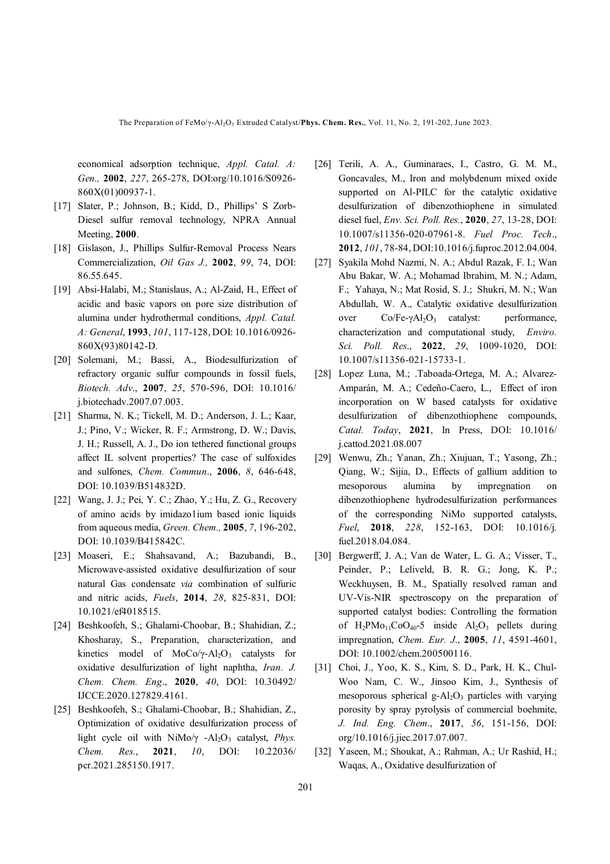The Preparation of FeMo/γ-Al<sub>2</sub>O<sub>3</sub> Extruded Catalyst/Phys. Chem. Res., Vol. 11, No. 2, 191-202, June 2023.

economical adsorption technique, *Appl. Catal. A: Gen.,* **2002**, *227*, 265-278, DOI:org/10.1016/S0926- 860X(01)00937-1.

- [17] Slater, P.; Johnson, B.; Kidd, D., Phillips' S Zorb-Diesel sulfur removal technology, NPRA Annual Meeting, **2000**.
- [18] Gislason, J., Phillips Sulfur-Removal Process Nears Commercialization, *Oil Gas J.,* **2002**, *99*, 74, DOI: 86.55.645.
- [19] Absi-Halabi, M.; Stanislaus, A.; Al-Zaid, H., Effect of acidic and basic vapors on pore size distribution of alumina under hydrothermal conditions, *Appl. Catal. A: General*, **1993**, *101*, 117-128, DOI: 10.1016/0926- 860X(93)80142-D.
- [20] Solemani, M.; Bassi, A., Biodesulfurization of refractory organic sulfur compounds in fossil fuels, *Biotech. Adv*., **2007**, *25*, 570-596, DOI: 10.1016/ j.biotechadv.2007.07.003.
- [21] Sharma, N. K.; Tickell, M. D.; Anderson, J. L.; Kaar, J.; Pino, V.; Wicker, R. F.; Armstrong, D. W.; Davis, J. H.; Russell, A. J., Do ion tethered functional groups affect IL solvent properties? The case of sulfoxides and sulfones, *Chem. Commun*., **2006**, *8*, 646-648, DOI: 10.1039/B514832D.
- [22] Wang, J. J.; Pei, Y. C.; Zhao, Y.; Hu, Z. G., Recovery of amino acids by imidazo1ium based ionic liquids from aqueous media, *Green. Chem.,* **2005**, *7*, 196-202, DOI: 10.1039/B415842C.
- [23] Moaseri, E.; Shahsavand, A.; Bazubandi, B., Microwave-assisted oxidative desulfurization of sour natural Gas condensate *via* combination of sulfuric and nitric acids, *Fuels*, **2014**, *28*, 825-831, DOI: 10.1021/ef4018515.
- [24] Beshkoofeh, S.; Ghalami-Choobar, B.; Shahidian, Z.; Khosharay, S., Preparation, characterization, and kinetics model of MoCo/γ-Al<sub>2</sub>O<sub>3</sub> catalysts for oxidative desulfurization of light naphtha, *Iran. J. Chem. Chem. Eng*., **2020**, *40*, DOI: 10.30492/ IJCCE.2020.127829.4161.
- [25] Beshkoofeh, S.; Ghalami-Choobar, B.; Shahidian, Z., Optimization of oxidative desulfurization process of light cycle oil with NiMo/γ -Al<sub>2</sub>O<sub>3</sub> catalyst, *Phys. Chem. Res.*, **2021**, *10*, DOI: 10.22036/ pcr.2021.285150.1917.
- [26] Terili, A. A., Guminaraes, I., Castro, G. M. M., Goncavales, M., Iron and molybdenum mixed oxide supported on Al-PILC for the catalytic oxidative desulfurization of dibenzothiophene in simulated diesel fuel, *Env. Sci. Poll. Res.*, **2020**, *27*, 13-28, DOI: 10.1007/s11356-020-07961-8. *Fuel Proc. Tech*., **2012**, *101*, 78-84, DOI:10.1016/j.fuproc.2012.04.004.
- [27] Syakila Mohd Nazmi, N. A.; Abdul Razak, F. I.; Wan Abu Bakar, W. A.; Mohamad Ibrahim, M. N.; Adam, F.; Yahaya, N.; Mat Rosid, S. J.; Shukri, M. N.; Wan Abdullah, W. A., Catalytic oxidative desulfurization over  $Co/Fe-γAl<sub>2</sub>O<sub>3</sub>$  catalyst: performance, characterization and computational study, *Enviro. Sci. Poll. Res*., **2022**, *29*, 1009-1020, DOI: 10.1007/s11356-021-15733-1.
- [28] Lopez Luna, M.; .Taboada-Ortega, M. A.; Alvarez-Amparán, M. A.; Cedeño-Caero, L., Effect of iron incorporation on W based catalysts for oxidative desulfurization of dibenzothiophene compounds, *Catal. Today*, **2021**, In Press, DOI: 10.1016/ j.cattod.2021.08.007
- [29] Wenwu, Zh.; Yanan, Zh.; Xiujuan, T.; Yasong, Zh.; Qiang, W.; Sijia, D., Effects of gallium addition to mesoporous alumina by impregnation on dibenzothiophene hydrodesulfurization performances of the corresponding NiMo supported catalysts, *Fuel*, **2018**, *228*, 152-163, DOI: 10.1016/j. fuel.2018.04.084.
- [30] Bergwerff, J. A.; Van de Water, L. G. A.; Visser, T., Peinder, P.; Leliveld, B. R. G.; Jong, K. P.; Weckhuysen, B. M., Spatially resolved raman and UV-Vis-NIR spectroscopy on the preparation of supported catalyst bodies: Controlling the formation of  $H_2PMO_{11}CoO_{40} - 5$  inside  $Al_2O_3$  pellets during impregnation, *Chem. Eur. J*., **2005**, *11*, 4591-4601, DOI: 10.1002/chem.200500116.
- [31] Choi, J., Yoo, K. S., Kim, S. D., Park, H. K., Chul-Woo Nam, C. W., Jinsoo Kim, J., Synthesis of mesoporous spherical g- $Al<sub>2</sub>O<sub>3</sub>$  particles with varying porosity by spray pyrolysis of commercial boehmite, *J. Ind. Eng. Chem*., **2017**, *56*, 151-156, DOI: org/10.1016/j.jiec.2017.07.007.
- [32] Yaseen, M.; Shoukat, A.; Rahman, A.; Ur Rashid, H.; Waqas, A., Oxidative desulfurization of